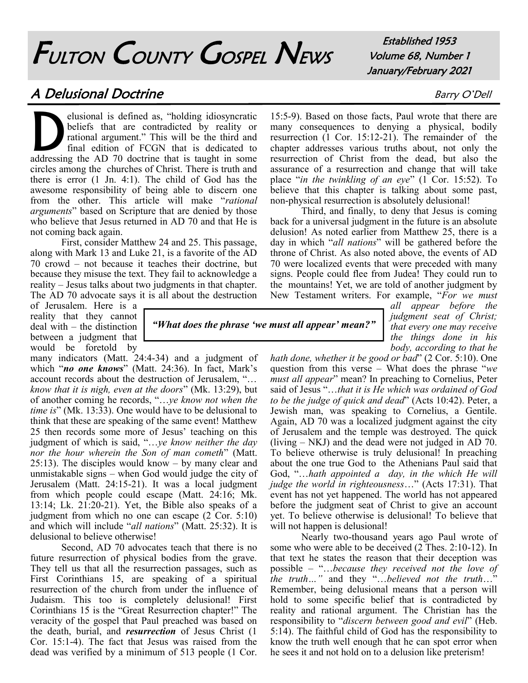# FULTON COUNTY GOSPEL NEWS

Established 1953 Volume 68, Number 1 January/February 2021

## A Delusional Doctrine Barry O'Dell

D<br>addressin elusional is defined as, "holding idiosyncratic beliefs that are contradicted by reality or rational argument." This will be the third and final edition of FCGN that is dedicated to addressing the AD 70 doctrine that is taught in some circles among the churches of Christ. There is truth and there is error (1 Jn. 4:1). The child of God has the awesome responsibility of being able to discern one from the other. This article will make "*rational arguments*" based on Scripture that are denied by those who believe that Jesus returned in AD 70 and that He is not coming back again.

First, consider Matthew 24 and 25. This passage, along with Mark 13 and Luke 21, is a favorite of the AD 70 crowd – not because it teaches their doctrine, but because they misuse the text. They fail to acknowledge a reality – Jesus talks about two judgments in that chapter. The AD 70 advocate says it is all about the destruction

of Jerusalem. Here is a reality that they cannot deal with – the distinction between a judgment that would be foretold by

many indicators (Matt. 24:4-34) and a judgment of which "*no one knows*" (Matt. 24:36). In fact, Mark's account records about the destruction of Jerusalem, "… *know that it is nigh, even at the doors*" (Mk. 13:29), but of another coming he records, "…*ye know not when the time is*" (Mk. 13:33). One would have to be delusional to think that these are speaking of the same event! Matthew 25 then records some more of Jesus' teaching on this judgment of which is said, "…*ye know neither the day nor the hour wherein the Son of man cometh*" (Matt. 25:13). The disciples would know – by many clear and unmistakable signs – when God would judge the city of Jerusalem (Matt. 24:15-21). It was a local judgment from which people could escape (Matt. 24:16; Mk. 13:14; Lk.  $21:20-21$ ). Yet, the Bible also speaks of a judgment from which no one can escape (2 Cor. 5:10) and which will include "*all nations*" (Matt. 25:32). It is delusional to believe otherwise!

Second, AD 70 advocates teach that there is no future resurrection of physical bodies from the grave. They tell us that all the resurrection passages, such as First Corinthians 15, are speaking of a spiritual resurrection of the church from under the influence of Judaism. This too is completely delusional! First Corinthians 15 is the "Great Resurrection chapter!" The veracity of the gospel that Paul preached was based on the death, burial, and *resurrection* of Jesus Christ (1 Cor. 15:1-4). The fact that Jesus was raised from the dead was verified by a minimum of 513 people (1 Cor.

*"What does the phrase 'we must all appear' mean?"*

15:5-9). Based on those facts, Paul wrote that there are many consequences to denying a physical, bodily resurrection (1 Cor. 15:12-21). The remainder of the chapter addresses various truths about, not only the resurrection of Christ from the dead, but also the assurance of a resurrection and change that will take place "*in the twinkling of an eye*" (1 Cor. 15:52). To believe that this chapter is talking about some past, non-physical resurrection is absolutely delusional!

Third, and finally, to deny that Jesus is coming back for a universal judgment in the future is an absolute delusion! As noted earlier from Matthew 25, there is a day in which "*all nations*" will be gathered before the throne of Christ. As also noted above, the events of AD 70 were localized events that were preceded with many signs. People could flee from Judea! They could run to the mountains! Yet, we are told of another judgment by New Testament writers. For example, "*For we must* 

> *all appear before the judgment seat of Christ; that every one may receive the things done in his body, according to that he*

*hath done, whether it be good or bad*" (2 Cor. 5:10). One question from this verse – What does the phrase "*we must all appear*" mean? In preaching to Cornelius, Peter said of Jesus "…*that it is He which was ordained of God to be the judge of quick and dead*" (Acts 10:42). Peter, a Jewish man, was speaking to Cornelius, a Gentile. Again, AD 70 was a localized judgment against the city of Jerusalem and the temple was destroyed. The quick (living – NKJ) and the dead were not judged in AD 70. To believe otherwise is truly delusional! In preaching about the one true God to the Athenians Paul said that God, "…*hath appointed a day, in the which He will judge the world in righteousness*…" (Acts 17:31). That event has not yet happened. The world has not appeared before the judgment seat of Christ to give an account yet. To believe otherwise is delusional! To believe that will not happen is delusional!

Nearly two-thousand years ago Paul wrote of some who were able to be deceived (2 Thes. 2:10-12). In that text he states the reason that their deception was possible – "…*because they received not the love of the truth…"* and they "…*believed not the truth*…" Remember, being delusional means that a person will hold to some specific belief that is contradicted by reality and rational argument. The Christian has the responsibility to "*discern between good and evil*" (Heb. 5:14). The faithful child of God has the responsibility to know the truth well enough that he can spot error when he sees it and not hold on to a delusion like preterism!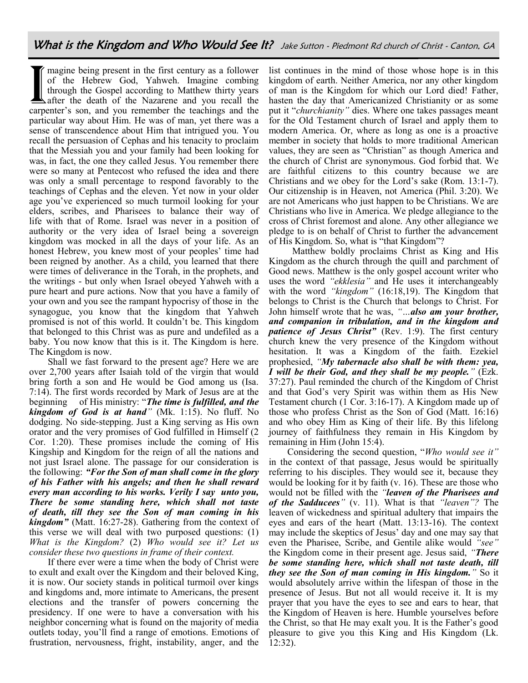Imagine being present in the first century as a follower<br>of the Hebrew God, Yahweh. Imagine combing<br>through the Gospel according to Matthew thirty years<br>after the death of the Nazarene and you recall the<br>carpenter's son, a magine being present in the first century as a follower of the Hebrew God, Yahweh. Imagine combing through the Gospel according to Matthew thirty years after the death of the Nazarene and you recall the particular way about Him. He was of man, yet there was a sense of transcendence about Him that intrigued you. You recall the persuasion of Cephas and his tenacity to proclaim that the Messiah you and your family had been looking for was, in fact, the one they called Jesus. You remember there were so many at Pentecost who refused the idea and there was only a small percentage to respond favorably to the teachings of Cephas and the eleven. Yet now in your older age you've experienced so much turmoil looking for your elders, scribes, and Pharisees to balance their way of life with that of Rome. Israel was never in a position of authority or the very idea of Israel being a sovereign kingdom was mocked in all the days of your life. As an honest Hebrew, you knew most of your peoples' time had been reigned by another. As a child, you learned that there were times of deliverance in the Torah, in the prophets, and the writings - but only when Israel obeyed Yahweh with a pure heart and pure actions. Now that you have a family of your own and you see the rampant hypocrisy of those in the synagogue, you know that the kingdom that Yahweh promised is not of this world. It couldn't be. This kingdom that belonged to this Christ was as pure and undefiled as a baby. You now know that this is it. The Kingdom is here. The Kingdom is now.

Shall we fast forward to the present age? Here we are over 2,700 years after Isaiah told of the virgin that would bring forth a son and He would be God among us (Isa. 7:14). The first words recorded by Mark of Jesus are at the beginning of His ministry: "*The time is fulfilled, and the kingdom of God is at hand"* (Mk. 1:15). No fluff. No dodging. No side-stepping. Just a King serving as His own orator and the very promises of God fulfilled in Himself (2 Cor. 1:20). These promises include the coming of His Kingship and Kingdom for the reign of all the nations and not just Israel alone. The passage for our consideration is the following: *"For the Son of man shall come in the glory of his Father with his angels; and then he shall reward every man according to his works. Verily I say unto you, There be some standing here, which shall not taste of death, till they see the Son of man coming in his kingdom"* (Matt. 16:27-28). Gathering from the context of this verse we will deal with two purposed questions: (1) *What is the Kingdom?* (2) *Who would see it? Let us consider these two questions in frame of their context.*

If there ever were a time when the body of Christ were to exult and exalt over the Kingdom and their beloved King, it is now. Our society stands in political turmoil over kings and kingdoms and, more intimate to Americans, the present elections and the transfer of powers concerning the presidency. If one were to have a conversation with his neighbor concerning what is found on the majority of media outlets today, you'll find a range of emotions. Emotions of frustration, nervousness, fright, instability, anger, and the

list continues in the mind of those whose hope is in this kingdom of earth. Neither America, nor any other kingdom of man is the Kingdom for which our Lord died! Father, hasten the day that Americanized Christianity or as some put it "*churchianity"* dies. Where one takes passages meant for the Old Testament church of Israel and apply them to modern America. Or, where as long as one is a proactive member in society that holds to more traditional American values, they are seen as "Christian" as though America and the church of Christ are synonymous. God forbid that. We are faithful citizens to this country because we are Christians and we obey for the Lord's sake (Rom. 13:1-7). Our citizenship is in Heaven, not America (Phil. 3:20). We are not Americans who just happen to be Christians. We are Christians who live in America. We pledge allegiance to the cross of Christ foremost and alone. Any other allegiance we pledge to is on behalf of Christ to further the advancement of His Kingdom. So, what is "that Kingdom"?

Matthew boldly proclaims Christ as King and His Kingdom as the church through the quill and parchment of Good news. Matthew is the only gospel account writer who uses the word *"ekklesia"* and He uses it interchangeably with the word *"kingdom"* (16:18,19). The Kingdom that belongs to Christ is the Church that belongs to Christ. For John himself wrote that he was, *"…also am your brother, and companion in tribulation, and in the kingdom and patience of Jesus Christ"* (Rev. 1:9). The first century church knew the very presence of the Kingdom without hesitation. It was a Kingdom of the faith. Ezekiel prophesied, *"My tabernacle also shall be with them: yea, I will be their God, and they shall be my people."* (Ezk. 37:27). Paul reminded the church of the Kingdom of Christ and that God's very Spirit was within them as His New Testament church (1 Cor. 3:16-17). A Kingdom made up of those who profess Christ as the Son of God (Matt. 16:16) and who obey Him as King of their life. By this lifelong journey of faithfulness they remain in His Kingdom by remaining in Him (John 15:4).

Considering the second question, "*Who would see it"*  in the context of that passage, Jesus would be spiritually referring to his disciples. They would see it, because they would be looking for it by faith (v. 16). These are those who would not be filled with the *"leaven of the Pharisees and of the Sadducees"* (v. 11). What is that *"leaven"?* The leaven of wickedness and spiritual adultery that impairs the eyes and ears of the heart (Matt. 13:13-16). The context may include the skeptics of Jesus' day and one may say that even the Pharisee, Scribe, and Gentile alike would *"see"*  the Kingdom come in their present age. Jesus said, *"There be some standing here, which shall not taste death, till they see the Son of man coming in His kingdom."* So it would absolutely arrive within the lifespan of those in the presence of Jesus. But not all would receive it. It is my prayer that you have the eyes to see and ears to hear, that the Kingdom of Heaven is here. Humble yourselves before the Christ, so that He may exalt you. It is the Father's good pleasure to give you this King and His Kingdom (Lk. 12:32).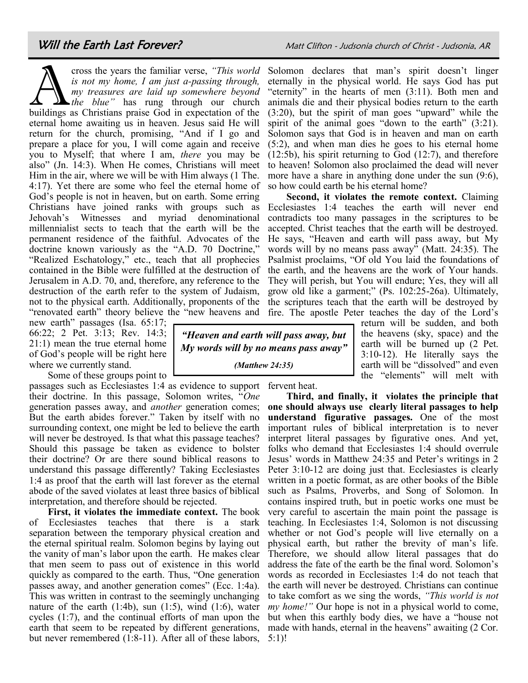### Will the Earth Last Forever? Matt Clifton - Judsonia church of Christ - Judsonia, AR

cross the years the familiar verse, "This world<br>is not my home, I am just a-passing through,<br>my treasures are laid up somewhere beyond<br>buildings as Christians praise God in expectation of the cross the years the familiar verse, *"This world is not my home, I am just a-passing through, my treasures are laid up somewhere beyond the blue"* has rung through our church eternal home awaiting us in heaven. Jesus said He will return for the church, promising, "And if I go and prepare a place for you, I will come again and receive you to Myself; that where I am, *there* you may be also" (Jn. 14:3). When He comes, Christians will meet Him in the air, where we will be with Him always (1 The. 4:17). Yet there are some who feel the eternal home of God's people is not in heaven, but on earth. Some erring Christians have joined ranks with groups such as Jehovah's Witnesses and myriad denominational millennialist sects to teach that the earth will be the permanent residence of the faithful. Advocates of the doctrine known variously as the "A.D. 70 Doctrine," "Realized Eschatology," etc., teach that all prophecies contained in the Bible were fulfilled at the destruction of Jerusalem in A.D. 70, and, therefore, any reference to the destruction of the earth refer to the system of Judaism, not to the physical earth. Additionally, proponents of the

new earth" passages (Isa. 65:17; 66:22; 2 Pet. 3:13; Rev. 14:3; 21:1) mean the true eternal home of God's people will be right here where we currently stand.

Some of these groups point to

passages such as Ecclesiastes 1:4 as evidence to support fervent heat. their doctrine. In this passage, Solomon writes, "*One* generation passes away, and *another* generation comes; But the earth abides forever." Taken by itself with no surrounding context, one might be led to believe the earth will never be destroyed. Is that what this passage teaches? Should this passage be taken as evidence to bolster their doctrine? Or are there sound biblical reasons to understand this passage differently? Taking Ecclesiastes 1:4 as proof that the earth will last forever as the eternal abode of the saved violates at least three basics of biblical interpretation, and therefore should be rejected.

**First, it violates the immediate context.** The book of Ecclesiastes teaches that there is a stark separation between the temporary physical creation and the eternal spiritual realm. Solomon begins by laying out the vanity of man's labor upon the earth. He makes clear that men seem to pass out of existence in this world quickly as compared to the earth. Thus, "One generation passes away, and another generation comes" (Ecc. 1:4a). This was written in contrast to the seemingly unchanging nature of the earth  $(1:4b)$ , sun  $(1:5)$ , wind  $(1:6)$ , water cycles (1:7), and the continual efforts of man upon the earth that seem to be repeated by different generations, but never remembered (1:8-11). After all of these labors,

*"Heaven and earth will pass away, but My words will by no means pass away"*

*(Matthew 24:35)*

Solomon declares that man's spirit doesn't linger eternally in the physical world. He says God has put "eternity" in the hearts of men (3:11). Both men and animals die and their physical bodies return to the earth (3:20), but the spirit of man goes "upward" while the spirit of the animal goes "down to the earth" (3:21). Solomon says that God is in heaven and man on earth (5:2), and when man dies he goes to his eternal home (12:5b), his spirit returning to God (12:7), and therefore to heaven! Solomon also proclaimed the dead will never more have a share in anything done under the sun (9:6), so how could earth be his eternal home?

"renovated earth" theory believe the "new heavens and fire. The apostle Peter teaches the day of the Lord's **Second, it violates the remote context.** Claiming Ecclesiastes 1:4 teaches the earth will never end contradicts too many passages in the scriptures to be accepted. Christ teaches that the earth will be destroyed. He says, "Heaven and earth will pass away, but My words will by no means pass away" (Matt. 24:35). The Psalmist proclaims, "Of old You laid the foundations of the earth, and the heavens are the work of Your hands. They will perish, but You will endure; Yes, they will all grow old like a garment;" (Ps. 102:25-26a). Ultimately, the scriptures teach that the earth will be destroyed by

return will be sudden, and both the heavens (sky, space) and the earth will be burned up (2 Pet. 3:10-12). He literally says the earth will be "dissolved" and even the "elements" will melt with

**Third, and finally, it violates the principle that one should always use clearly literal passages to help understand figurative passages.** One of the most important rules of biblical interpretation is to never interpret literal passages by figurative ones. And yet, folks who demand that Ecclesiastes 1:4 should overrule Jesus' words in Matthew 24:35 and Peter's writings in 2 Peter 3:10-12 are doing just that. Ecclesiastes is clearly written in a poetic format, as are other books of the Bible such as Psalms, Proverbs, and Song of Solomon. In contains inspired truth, but in poetic works one must be very careful to ascertain the main point the passage is teaching. In Ecclesiastes 1:4, Solomon is not discussing whether or not God's people will live eternally on a physical earth, but rather the brevity of man's life. Therefore, we should allow literal passages that do address the fate of the earth be the final word. Solomon's words as recorded in Ecclesiastes 1:4 do not teach that the earth will never be destroyed. Christians can continue to take comfort as we sing the words, *"This world is not my home!"* Our hope is not in a physical world to come, but when this earthly body dies, we have a "house not made with hands, eternal in the heavens" awaiting (2 Cor. 5:1)!